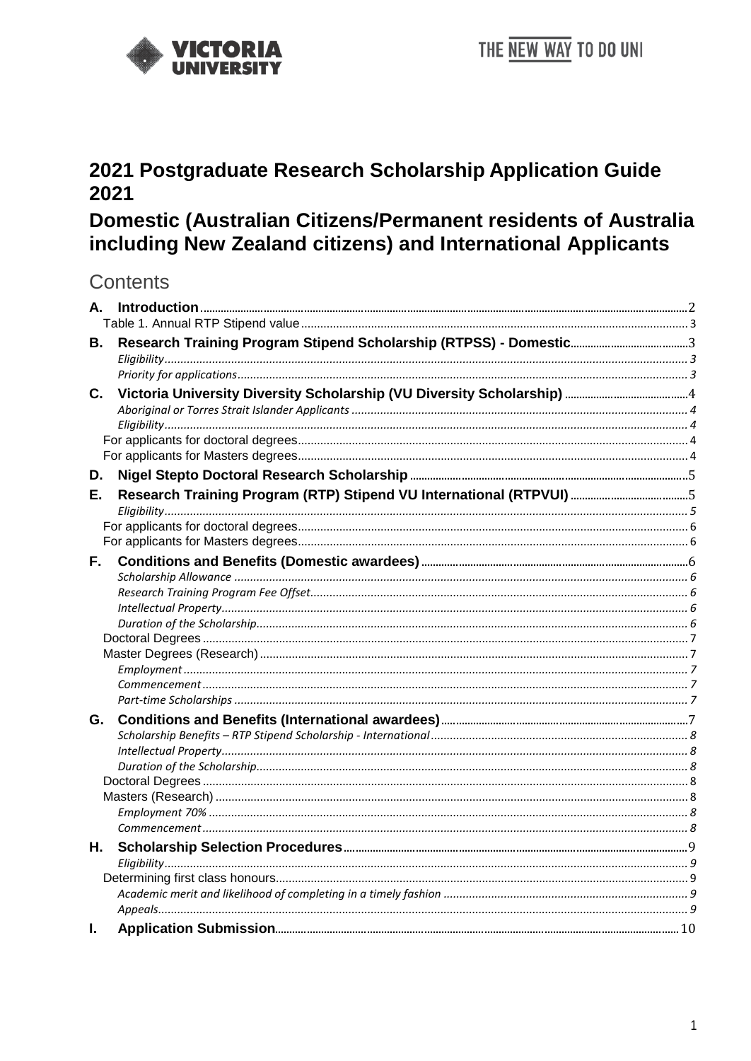

# 2021 Postgraduate Research Scholarship Application Guide 2021

# Domestic (Australian Citizens/Permanent residents of Australia including New Zealand citizens) and International Applicants

## **Contents**

| А. |  |
|----|--|
|    |  |
| В. |  |
|    |  |
|    |  |
| C. |  |
|    |  |
|    |  |
|    |  |
|    |  |
| D. |  |
| Е. |  |
|    |  |
|    |  |
|    |  |
| F. |  |
|    |  |
|    |  |
|    |  |
|    |  |
|    |  |
|    |  |
|    |  |
|    |  |
| G. |  |
|    |  |
|    |  |
|    |  |
|    |  |
|    |  |
|    |  |
|    |  |
| Н. |  |
|    |  |
|    |  |
|    |  |
| I. |  |
|    |  |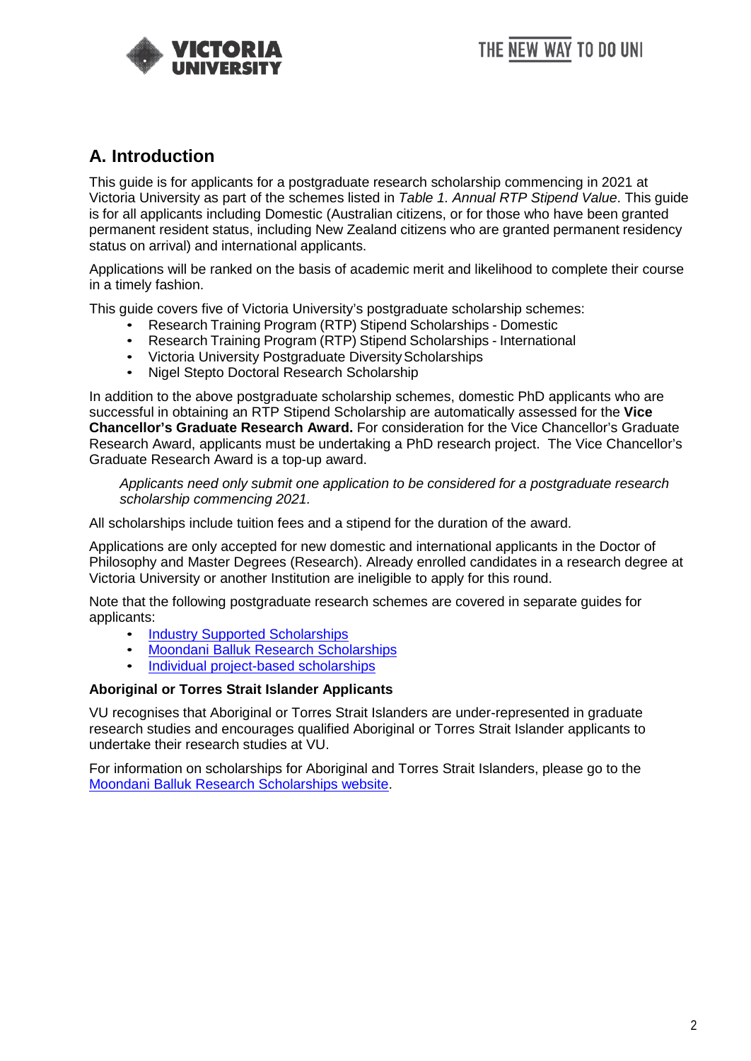

## <span id="page-1-0"></span>**A. Introduction**

This guide is for applicants for a postgraduate research scholarship commencing in 2021 at Victoria University as part of the schemes listed in *Table 1. Annual RTP Stipend Value*. This guide is for all applicants including Domestic (Australian citizens, or for those who have been granted permanent resident status, including New Zealand citizens who are granted permanent residency status on arrival) and international applicants.

Applications will be ranked on the basis of academic merit and likelihood to complete their course in a timely fashion.

This guide covers five of Victoria University's postgraduate scholarship schemes:

- Research Training Program (RTP) Stipend Scholarships Domestic
- Research Training Program (RTP) Stipend Scholarships International
- Victoria University Postgraduate Diversity Scholarships
- Nigel Stepto Doctoral Research Scholarship

In addition to the above postgraduate scholarship schemes, domestic PhD applicants who are successful in obtaining an RTP Stipend Scholarship are automatically assessed for the **Vice Chancellor's Graduate Research Award.** For consideration for the Vice Chancellor's Graduate Research Award, applicants must be undertaking a PhD research project. The Vice Chancellor's Graduate Research Award is a top-up award.

*Applicants need only submit one application to be considered for a postgraduate research scholarship commencing 2021.*

All scholarships include tuition fees and a stipend for the duration of the award.

Applications are only accepted for new domestic and international applicants in the Doctor of Philosophy and Master Degrees (Research). Already enrolled candidates in a research degree at Victoria University or another Institution are ineligible to apply for this round.

Note that the following postgraduate research schemes are covered in separate guides for applicants:

- **[Industry Supported Scholarships](https://www.vu.edu.au/study-at-vu/fees-scholarships/scholarships/graduate-research-scholarships/project-based-research-scholarships)**
- [Moondani Balluk Research Scholarships](https://www.vu.edu.au/study-at-vu/fees-scholarships/scholarships/graduate-research-scholarships/moondani-balluk-research-scholarships)
- [Individual project-based scholarships](https://www.vu.edu.au/study-at-vu/fees-scholarships/scholarships/graduate-research-scholarships/project-based-research-scholarships)

### **Aboriginal or Torres Strait Islander Applicants**

VU recognises that Aboriginal or Torres Strait Islanders are under-represented in graduate research studies and encourages qualified Aboriginal or Torres Strait Islander applicants to undertake their research studies at VU.

For information on scholarships for Aboriginal and Torres Strait Islanders, please go to the [Moondani Balluk Research Scholarships website.](https://www.vu.edu.au/study-at-vu/fees-scholarships/scholarships/graduate-research-scholarships/moondani-balluk-research-scholarships)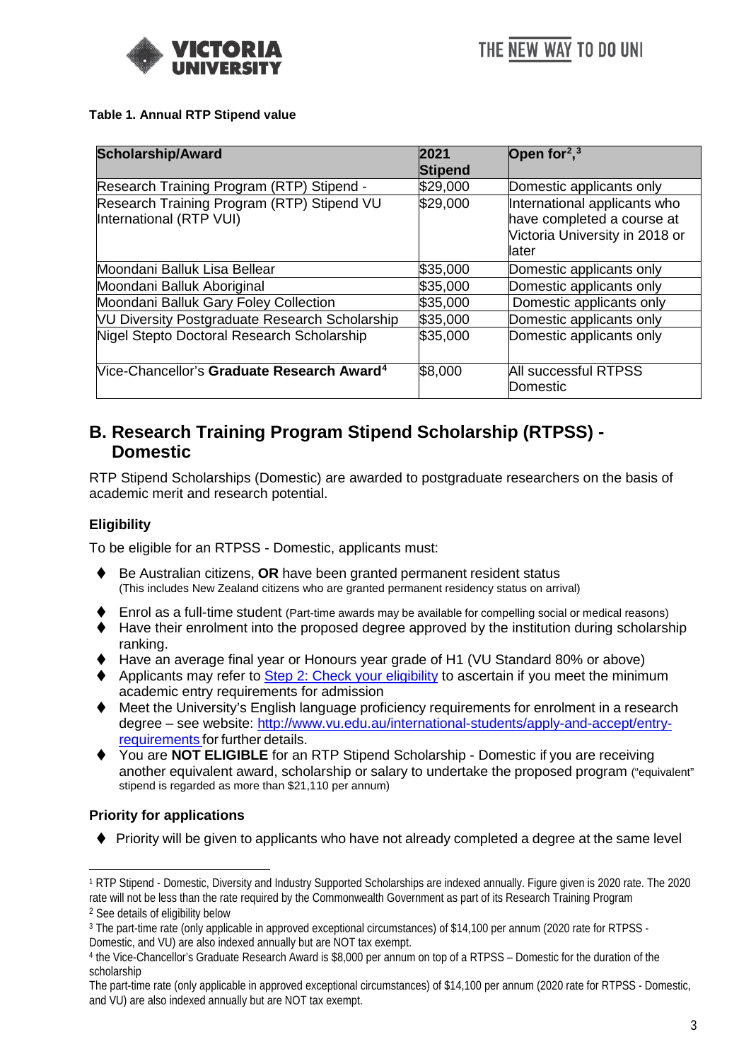

#### <span id="page-2-0"></span>**Table 1. Annual RTP Stipend value**

| <b>Scholarship/Award</b>                                              | 2021<br>Stipend | Open for $2,3$                                                                                         |
|-----------------------------------------------------------------------|-----------------|--------------------------------------------------------------------------------------------------------|
| Research Training Program (RTP) Stipend -                             | \$29,000        | Domestic applicants only                                                                               |
| Research Training Program (RTP) Stipend VU<br>International (RTP VUI) | \$29,000        | International applicants who<br>have completed a course at<br>Victoria University in 2018 or<br>llater |
| Moondani Balluk Lisa Bellear                                          | \$35,000        | Domestic applicants only                                                                               |
| Moondani Balluk Aboriginal                                            | \$35,000        | Domestic applicants only                                                                               |
| Moondani Balluk Gary Foley Collection                                 | \$35,000        | Domestic applicants only                                                                               |
| <b>NU Diversity Postgraduate Research Scholarship</b>                 | \$35,000        | Domestic applicants only                                                                               |
| Nigel Stepto Doctoral Research Scholarship                            | \$35,000        | Domestic applicants only                                                                               |
| Vice-Chancellor's Graduate Research Award <sup>4</sup>                | \$8,000         | All successful RTPSS<br>Domestic                                                                       |

## <span id="page-2-1"></span>**B. Research Training Program Stipend Scholarship (RTPSS) - Domestic**

RTP Stipend Scholarships (Domestic) are awarded to postgraduate researchers on the basis of academic merit and research potential.

### <span id="page-2-2"></span>**Eligibility**

To be eligible for an RTPSS - Domestic, applicants must:

- ◆ Be Australian citizens, **OR** have been granted permanent resident status (This includes New Zealand citizens who are granted permanent residency status on arrival)
- Enrol as a full-time student (Part-time awards may be available for compelling social or medical reasons)
- Have their enrolment into the proposed degree approved by the institution during scholarship ranking.
- Have an average final year or Honours year grade of H1 (VU Standard 80% or above)
- Applicants may refer to [Step 2: Check your eligibility](https://www.vu.edu.au/study-at-vu/fees-scholarships/scholarships/graduate-research-scholarships/apply-for-a-graduate-research-scholarship) to ascertain if you meet the minimum academic entry requirements for admission
- ◆ Meet the University's English language proficiency requirements for enrolment in a research degree – see website: [http://www.vu.edu.au/international-students/apply-and-accept/entry](http://www.vu.edu.au/international-students/apply-and-accept/entry-requirements)[requirements](http://www.vu.edu.au/international-students/apply-and-accept/entry-requirements) for further details.
- You are **NOT ELIGIBLE** for an RTP Stipend Scholarship Domestic if you are receiving another equivalent award, scholarship or salary to undertake the proposed program ("equivalent" stipend is regarded as more than \$21,110 per annum)

### <span id="page-2-3"></span>**Priority for applications**

◆ Priority will be given to applicants who have not already completed a degree at the same level

 <sup>1</sup> RTP Stipend - Domestic, Diversity and Industry Supported Scholarships are indexed annually. Figure given is 2020 rate. The 2020 rate will not be less than the rate required by the Commonwealth Government as part of its Research Training Program

<span id="page-2-4"></span><sup>2</sup> See details of eligibility below

<span id="page-2-5"></span><sup>3</sup> The part-time rate (only applicable in approved exceptional circumstances) of \$14,100 per annum (2020 rate for RTPSS - Domestic, and VU) are also indexed annually but are NOT tax exempt.

<span id="page-2-6"></span><sup>4</sup> the Vice-Chancellor's Graduate Research Award is \$8,000 per annum on top of a RTPSS – Domestic for the duration of the scholarship

The part-time rate (only applicable in approved exceptional circumstances) of \$14,100 per annum (2020 rate for RTPSS - Domestic, and VU) are also indexed annually but are NOT tax exempt.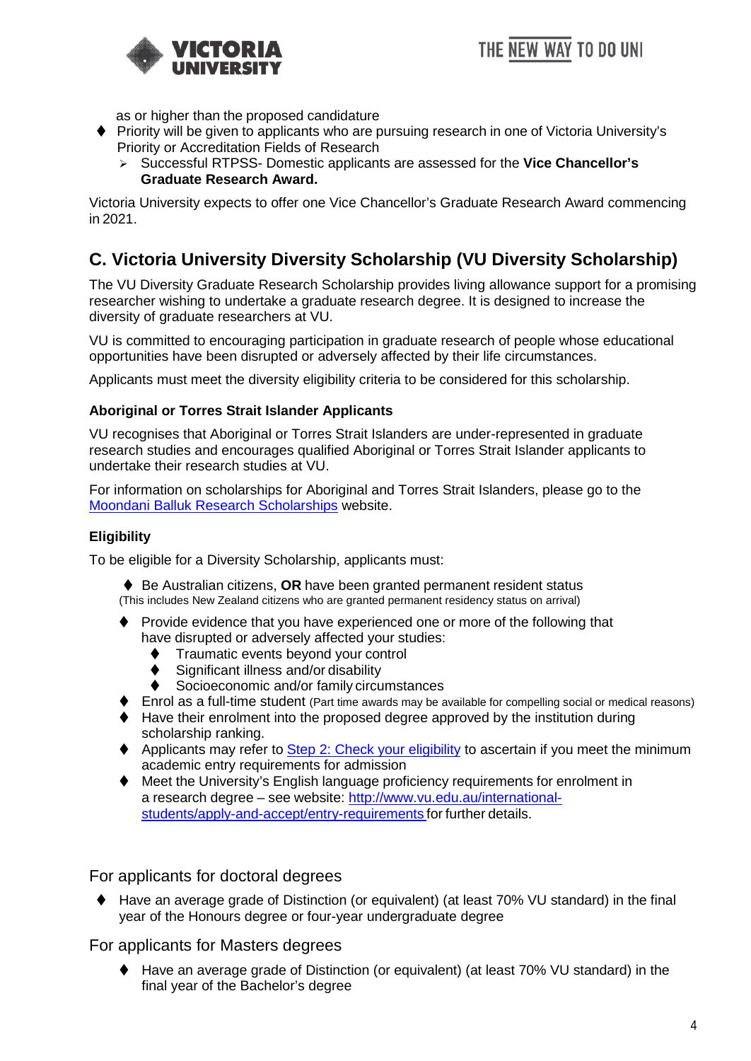

as or higher than the proposed candidature

- ◆ Priority will be given to applicants who are pursuing research in one of Victoria University's Priority or Accreditation Fields of Research
	- Successful RTPSS- Domestic applicants are assessed for the **Vice Chancellor's Graduate Research Award.**

Victoria University expects to offer one Vice Chancellor's Graduate Research Award commencing in 2021.

## <span id="page-3-0"></span>**C. Victoria University Diversity Scholarship (VU Diversity Scholarship)**

The VU Diversity Graduate Research Scholarship provides living allowance support for a promising researcher wishing to undertake a graduate research degree. It is designed to increase the diversity of graduate researchers at VU.

VU is committed to encouraging participation in graduate research of people whose educational opportunities have been disrupted or adversely affected by their life circumstances.

<span id="page-3-1"></span>Applicants must meet the diversity eligibility criteria to be considered for this scholarship.

### **Aboriginal or Torres Strait Islander Applicants**

VU recognises that Aboriginal or Torres Strait Islanders are under-represented in graduate research studies and encourages qualified Aboriginal or Torres Strait Islander applicants to undertake their research studies at VU.

For information on scholarships for Aboriginal and Torres Strait Islanders, please go to the [Moondani Balluk Research Scholarships](https://www.vu.edu.au/study-at-vu/fees-scholarships/scholarships/graduate-research-scholarships/moondani-balluk-research-scholarships) website.

### <span id="page-3-2"></span>**Eligibility**

To be eligible for a Diversity Scholarship, applicants must:

◆ Be Australian citizens, OR have been granted permanent resident status (This includes New Zealand citizens who are granted permanent residency status on arrival)

- Provide evidence that you have experienced one or more of the following that have disrupted or adversely affected your studies:
	- Traumatic events beyond your control
	- Significant illness and/or disability
	- Socioeconomic and/or family circumstances
- ◆ Enrol as a full-time student (Part time awards may be available for compelling social or medical reasons)
- Have their enrolment into the proposed degree approved by the institution during scholarship ranking.
- ◆ Applicants may refer to [Step 2: Check your eligibility](https://www.vu.edu.au/study-at-vu/fees-scholarships/scholarships/graduate-research-scholarships/apply-for-a-graduate-research-scholarship) to ascertain if you meet the minimum academic entry requirements for admission
- Meet the University's English language proficiency requirements for enrolment in a research degree – see website: [http://www.vu.edu.au/international](http://www.vu.edu.au/international-students/apply-and-accept/entry-requirements)[students/apply-and-accept/entry-requirements](http://www.vu.edu.au/international-students/apply-and-accept/entry-requirements) for further details.

<span id="page-3-3"></span>For applicants for doctoral degrees

◆ Have an average grade of Distinction (or equivalent) (at least 70% VU standard) in the final year of the Honours degree or four-year undergraduate degree

<span id="page-3-4"></span>For applicants for Masters degrees

◆ Have an average grade of Distinction (or equivalent) (at least 70% VU standard) in the final year of the Bachelor's degree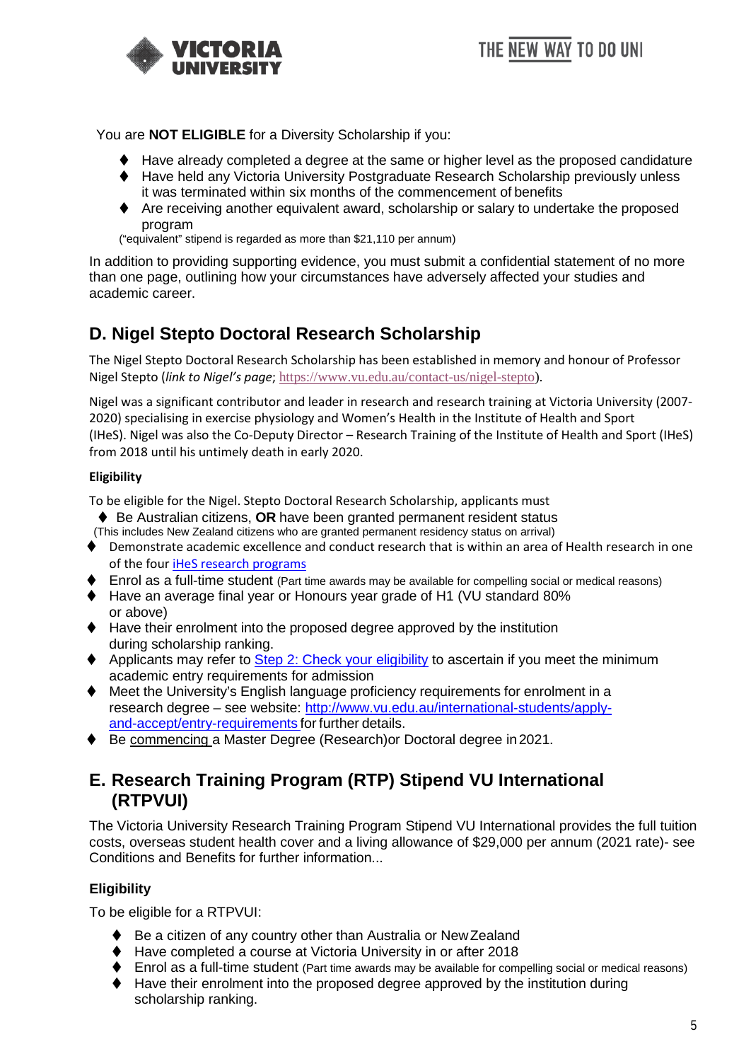

THE NEW WAY TO DO UNI

You are **NOT ELIGIBLE** for a Diversity Scholarship if you:

- ◆ Have already completed a degree at the same or higher level as the proposed candidature
- ◆ Have held any Victoria University Postgraduate Research Scholarship previously unless it was terminated within six months of the commencement of benefits
- Are receiving another equivalent award, scholarship or salary to undertake the proposed program

("equivalent" stipend is regarded as more than \$21,110 per annum)

In addition to providing supporting evidence, you must submit a confidential statement of no more than one page, outlining how your circumstances have adversely affected your studies and academic career.

## <span id="page-4-0"></span>**D. Nigel Stepto Doctoral Research Scholarship**

The Nigel Stepto Doctoral Research Scholarship has been established in memory and honour of Professor Nigel Stepto (*link to Nigel's page*; [https://www.vu.edu.au/contact-us/nigel-stepto\)](https://www.vu.edu.au/contact-us/nigel-stepto).

Nigel was a significant contributor and leader in research and research training at Victoria University (2007- 2020) specialising in exercise physiology and Women's Health in the Institute of Health and Sport (IHeS). Nigel was also the Co-Deputy Director – Research Training of the Institute of Health and Sport (IHeS) from 2018 until his untimely death in early 2020.

#### **Eligibility**

To be eligible for the Nigel. Stepto Doctoral Research Scholarship, applicants must

- ◆ Be Australian citizens, OR have been granted permanent resident status
- (This includes New Zealand citizens who are granted permanent residency status on arrival)
- ◆ Demonstrate academic excellence and conduct research that is within an area of Health research in one of the four [iHeS research programs](https://www.vu.edu.au/research/institute-for-health-sport)
- ◆ Enrol as a full-time student (Part time awards may be available for compelling social or medical reasons)
- ◆ Have an average final year or Honours year grade of H1 (VU standard 80% or above)
- ◆ Have their enrolment into the proposed degree approved by the institution during scholarship ranking.
- ◆ Applicants may refer to [Step 2: Check your eligibility](https://www.vu.edu.au/study-at-vu/fees-scholarships/scholarships/graduate-research-scholarships/apply-for-a-graduate-research-scholarship) to ascertain if you meet the minimum academic entry requirements for admission
- ◆ Meet the University's English language proficiency requirements for enrolment in a research degree – see website: [http://www.vu.edu.au/international-students/apply](http://www.vu.edu.au/international-students/apply-and-accept/entry-requirements)[and-accept/entry-requirements](http://www.vu.edu.au/international-students/apply-and-accept/entry-requirements) for further details.
- <span id="page-4-1"></span>◆ Be commencing a Master Degree (Research)or Doctoral degree in 2021.

## **E. Research Training Program (RTP) Stipend VU International (RTPVUI)**

The Victoria University Research Training Program Stipend VU International provides the full tuition costs, overseas student health cover and a living allowance of \$29,000 per annum (2021 rate)- see Conditions and Benefits for further information...

### <span id="page-4-2"></span>**Eligibility**

To be eligible for a RTPVUI:

- ◆ Be a citizen of any country other than Australia or New Zealand
- ◆ Have completed a course at Victoria University in or after 2018
- ◆ Enrol as a full-time student (Part time awards may be available for compelling social or medical reasons)
- ◆ Have their enrolment into the proposed degree approved by the institution during scholarship ranking.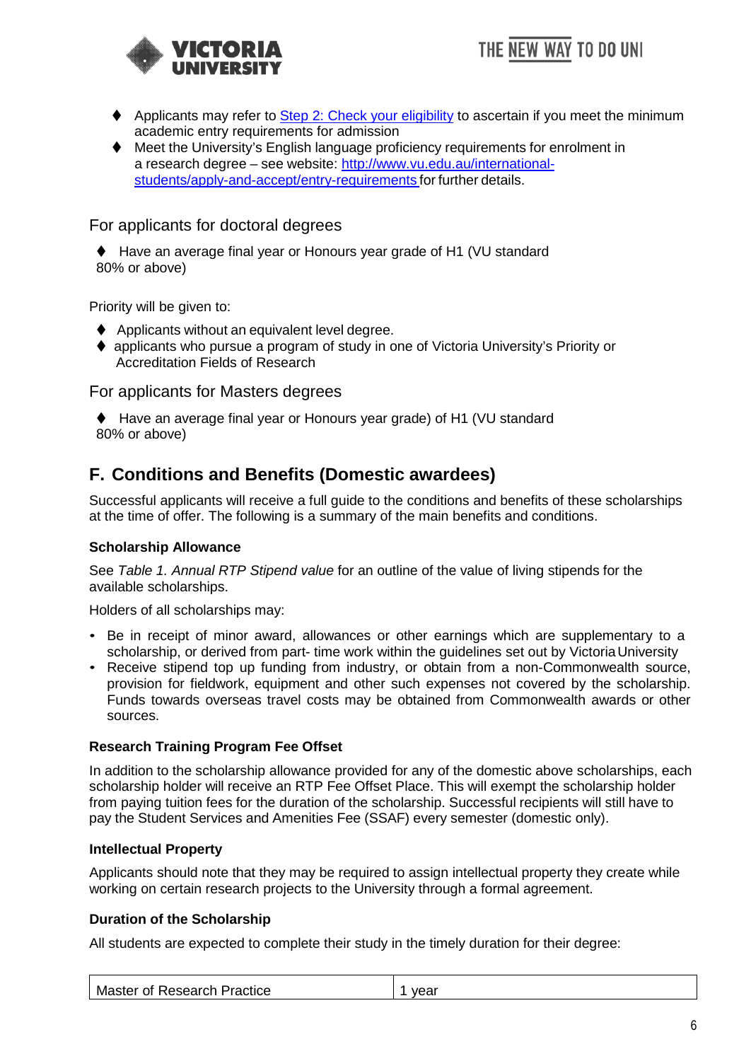



- ◆ Applicants may refer to [Step 2: Check your eligibility](https://www.vu.edu.au/study-at-vu/fees-scholarships/scholarships/graduate-research-scholarships/apply-for-a-graduate-research-scholarship) to ascertain if you meet the minimum academic entry requirements for admission
- ◆ Meet the University's English language proficiency requirements for enrolment in a research degree – see website: [http://www.vu.edu.au/international](http://www.vu.edu.au/international-students/apply-and-accept/entry-requirements)[students/apply-and-accept/entry-requirements](http://www.vu.edu.au/international-students/apply-and-accept/entry-requirements) for further details.

<span id="page-5-0"></span>For applicants for doctoral degrees

◆ Have an average final year or Honours year grade of H1 (VU standard 80% or above)

Priority will be given to:

- ◆ Applicants without an equivalent level degree.
- ◆ applicants who pursue a program of study in one of Victoria University's Priority or Accreditation Fields of Research

<span id="page-5-1"></span>For applicants for Masters degrees

◆ Have an average final year or Honours year grade) of H1 (VU standard 80% or above)

## <span id="page-5-2"></span>**F. Conditions and Benefits (Domestic awardees)**

Successful applicants will receive a full guide to the conditions and benefits of these scholarships at the time of offer. The following is a summary of the main benefits and conditions.

### <span id="page-5-3"></span>**Scholarship Allowance**

See *Table 1. Annual RTP Stipend value* for an outline of the value of living stipends for the available scholarships.

Holders of all scholarships may:

- Be in receipt of minor award, allowances or other earnings which are supplementary to a scholarship, or derived from part- time work within the guidelines set out by Victoria University
- Receive stipend top up funding from industry, or obtain from a non-Commonwealth source, provision for fieldwork, equipment and other such expenses not covered by the scholarship. Funds towards overseas travel costs may be obtained from Commonwealth awards or other sources.

### <span id="page-5-4"></span>**Research Training Program Fee Offset**

In addition to the scholarship allowance provided for any of the domestic above scholarships, each scholarship holder will receive an RTP Fee Offset Place. This will exempt the scholarship holder from paying tuition fees for the duration of the scholarship. Successful recipients will still have to pay the Student Services and Amenities Fee (SSAF) every semester (domestic only).

#### <span id="page-5-5"></span>**Intellectual Property**

Applicants should note that they may be required to assign intellectual property they create while working on certain research projects to the University through a formal agreement.

### <span id="page-5-6"></span>**Duration of the Scholarship**

All students are expected to complete their study in the timely duration for their degree:

|  | Master of Research Practice | vear |
|--|-----------------------------|------|
|--|-----------------------------|------|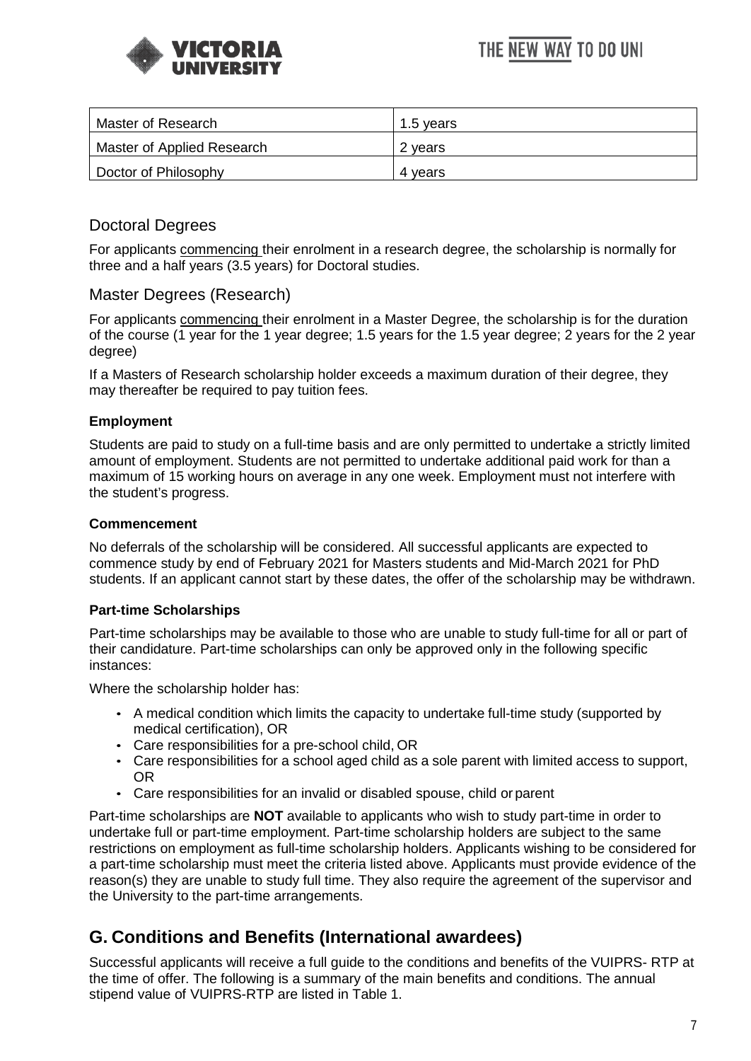



| Master of Research         | 1.5 vears |
|----------------------------|-----------|
| Master of Applied Research | 2 years   |
| Doctor of Philosophy       | 4 vears   |

### <span id="page-6-0"></span>Doctoral Degrees

For applicants commencing their enrolment in a research degree, the scholarship is normally for three and a half years (3.5 years) for Doctoral studies.

### <span id="page-6-1"></span>Master Degrees (Research)

For applicants commencing their enrolment in a Master Degree, the scholarship is for the duration of the course (1 year for the 1 year degree; 1.5 years for the 1.5 year degree; 2 years for the 2 year degree)

If a Masters of Research scholarship holder exceeds a maximum duration of their degree, they may thereafter be required to pay tuition fees.

### <span id="page-6-2"></span>**Employment**

Students are paid to study on a full-time basis and are only permitted to undertake a strictly limited amount of employment. Students are not permitted to undertake additional paid work for than a maximum of 15 working hours on average in any one week. Employment must not interfere with the student's progress.

### <span id="page-6-3"></span>**Commencement**

No deferrals of the scholarship will be considered. All successful applicants are expected to commence study by end of February 2021 for Masters students and Mid-March 2021 for PhD students. If an applicant cannot start by these dates, the offer of the scholarship may be withdrawn.

### <span id="page-6-4"></span>**Part-time Scholarships**

Part-time scholarships may be available to those who are unable to study full-time for all or part of their candidature. Part-time scholarships can only be approved only in the following specific instances:

Where the scholarship holder has:

- A medical condition which limits the capacity to undertake full-time study (supported by medical certification), OR
- Care responsibilities for a pre-school child, OR
- Care responsibilities for a school aged child as a sole parent with limited access to support, OR
- Care responsibilities for an invalid or disabled spouse, child or parent

Part-time scholarships are **NOT** available to applicants who wish to study part-time in order to undertake full or part-time employment. Part-time scholarship holders are subject to the same restrictions on employment as full-time scholarship holders. Applicants wishing to be considered for a part-time scholarship must meet the criteria listed above. Applicants must provide evidence of the reason(s) they are unable to study full time. They also require the agreement of the supervisor and the University to the part-time arrangements.

## <span id="page-6-5"></span>**G. Conditions and Benefits (International awardees)**

Successful applicants will receive a full guide to the conditions and benefits of the VUIPRS- RTP at the time of offer. The following is a summary of the main benefits and conditions. The annual stipend value of VUIPRS-RTP are listed in Table 1.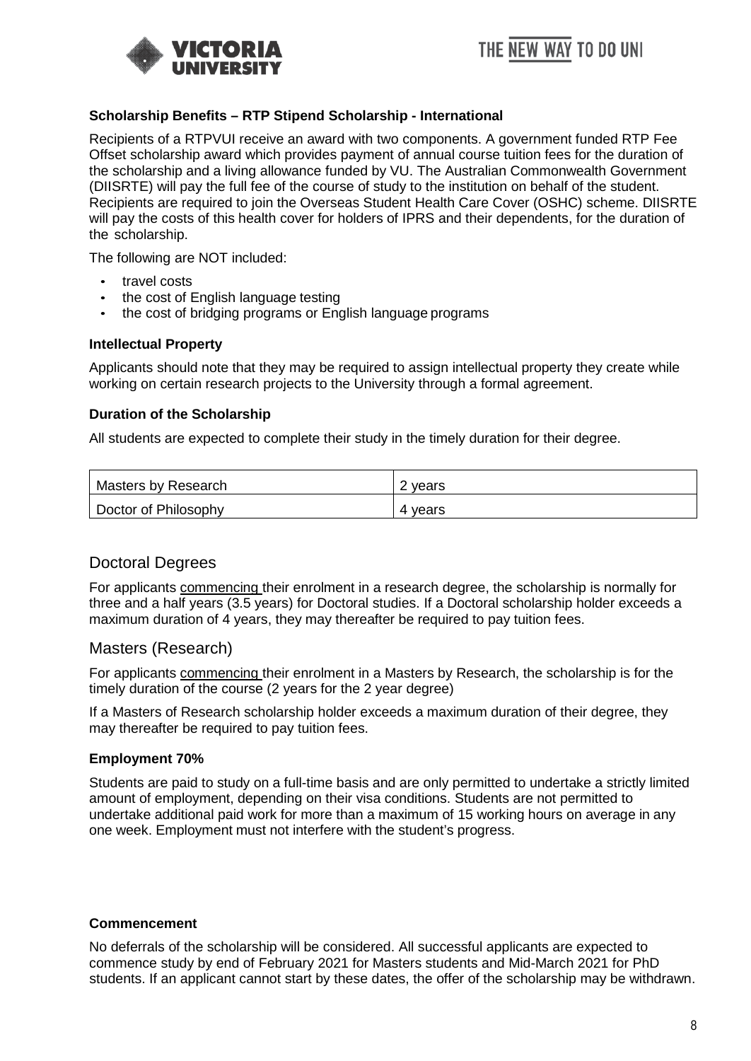



#### <span id="page-7-0"></span>**Scholarship Benefits – RTP Stipend Scholarship - International**

Recipients of a RTPVUI receive an award with two components. A government funded RTP Fee Offset scholarship award which provides payment of annual course tuition fees for the duration of the scholarship and a living allowance funded by VU. The Australian Commonwealth Government (DIISRTE) will pay the full fee of the course of study to the institution on behalf of the student. Recipients are required to join the Overseas Student Health Care Cover (OSHC) scheme. DIISRTE will pay the costs of this health cover for holders of IPRS and their dependents, for the duration of the scholarship.

The following are NOT included:

- travel costs
- the cost of English language testing
- the cost of bridging programs or English language programs

#### <span id="page-7-1"></span>**Intellectual Property**

Applicants should note that they may be required to assign intellectual property they create while working on certain research projects to the University through a formal agreement.

#### <span id="page-7-2"></span>**Duration of the Scholarship**

All students are expected to complete their study in the timely duration for their degree.

| <b>Masters by Research</b> | 2 years |
|----------------------------|---------|
| Doctor of Philosophy       | 4 vears |

### <span id="page-7-3"></span>Doctoral Degrees

For applicants commencing their enrolment in a research degree, the scholarship is normally for three and a half years (3.5 years) for Doctoral studies. If a Doctoral scholarship holder exceeds a maximum duration of 4 years, they may thereafter be required to pay tuition fees.

#### <span id="page-7-4"></span>Masters (Research)

For applicants commencing their enrolment in a Masters by Research, the scholarship is for the timely duration of the course (2 years for the 2 year degree)

If a Masters of Research scholarship holder exceeds a maximum duration of their degree, they may thereafter be required to pay tuition fees.

#### <span id="page-7-5"></span>**Employment 70%**

Students are paid to study on a full-time basis and are only permitted to undertake a strictly limited amount of employment, depending on their visa conditions. Students are not permitted to undertake additional paid work for more than a maximum of 15 working hours on average in any one week. Employment must not interfere with the student's progress.

#### <span id="page-7-6"></span>**Commencement**

No deferrals of the scholarship will be considered. All successful applicants are expected to commence study by end of February 2021 for Masters students and Mid-March 2021 for PhD students. If an applicant cannot start by these dates, the offer of the scholarship may be withdrawn.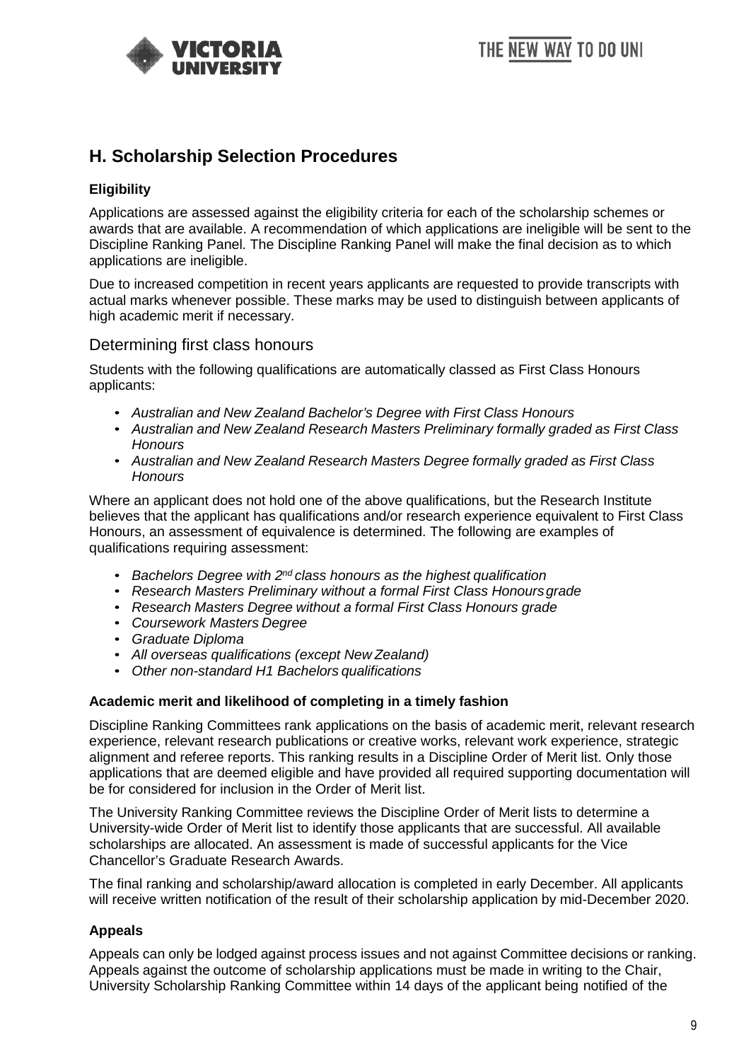

## <span id="page-8-0"></span>**H. Scholarship Selection Procedures**

### <span id="page-8-1"></span>**Eligibility**

Applications are assessed against the eligibility criteria for each of the scholarship schemes or awards that are available. A recommendation of which applications are ineligible will be sent to the Discipline Ranking Panel. The Discipline Ranking Panel will make the final decision as to which applications are ineligible.

Due to increased competition in recent years applicants are requested to provide transcripts with actual marks whenever possible. These marks may be used to distinguish between applicants of high academic merit if necessary.

### <span id="page-8-2"></span>Determining first class honours

Students with the following qualifications are automatically classed as First Class Honours applicants:

- *Australian and New Zealand Bachelor's Degree with First Class Honours*
- *Australian and New Zealand Research Masters Preliminary formally graded as First Class Honours*
- *Australian and New Zealand Research Masters Degree formally graded as First Class Honours*

Where an applicant does not hold one of the above qualifications, but the Research Institute believes that the applicant has qualifications and/or research experience equivalent to First Class Honours, an assessment of equivalence is determined. The following are examples of qualifications requiring assessment:

- *Bachelors Degree with 2nd class honours as the highest qualification*
- *Research Masters Preliminary without a formal First Class Honoursgrade*
- *Research Masters Degree without a formal First Class Honours grade*
- *Coursework Masters Degree*
- *Graduate Diploma*
- *All overseas qualifications (except New Zealand)*
- *Other non-standard H1 Bachelors qualifications*

#### <span id="page-8-3"></span>**Academic merit and likelihood of completing in a timely fashion**

Discipline Ranking Committees rank applications on the basis of academic merit, relevant research experience, relevant research publications or creative works, relevant work experience, strategic alignment and referee reports. This ranking results in a Discipline Order of Merit list. Only those applications that are deemed eligible and have provided all required supporting documentation will be for considered for inclusion in the Order of Merit list.

The University Ranking Committee reviews the Discipline Order of Merit lists to determine a University-wide Order of Merit list to identify those applicants that are successful. All available scholarships are allocated. An assessment is made of successful applicants for the Vice Chancellor's Graduate Research Awards.

The final ranking and scholarship/award allocation is completed in early December. All applicants will receive written notification of the result of their scholarship application by mid-December 2020.

### <span id="page-8-4"></span>**Appeals**

Appeals can only be lodged against process issues and not against Committee decisions or ranking. Appeals against the outcome of scholarship applications must be made in writing to the Chair, University Scholarship Ranking Committee within 14 days of the applicant being notified of the